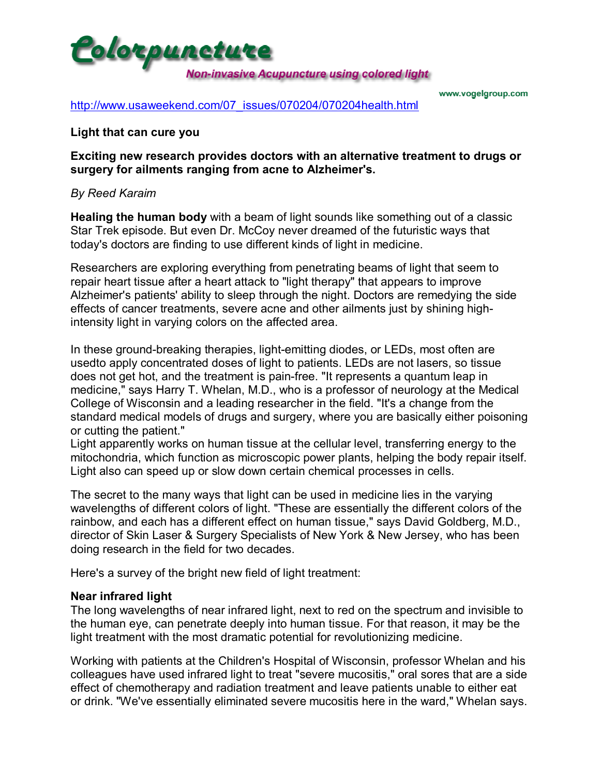

www.vogelgroup.com

[http://www.usaweekend.com/07\\_issues/070204/070204health.html](http://www.usaweekend.com/07_issues/070204/070204health.html)

#### **Light that can cure you**

**Exciting new research provides doctors with an alternative treatment to drugs or surgery for ailments ranging from acne to Alzheimer's.**

#### *By Reed Karaim*

**Healing the human body** with a beam of light sounds like something out of a classic Star Trek episode. But even Dr. McCoy never dreamed of the futuristic ways that today's doctors are finding to use different kinds of light in medicine.

Researchers are exploring everything from penetrating beams of light that seem to repair heart tissue after a heart attack to "light therapy" that appears to improve Alzheimer's patients' ability to sleep through the night. Doctors are remedying the side effects of cancer treatments, severe acne and other ailments just by shining highintensity light in varying colors on the affected area.

In these ground-breaking therapies, light-emitting diodes, or LEDs, most often are usedto apply concentrated doses of light to patients. LEDs are not lasers, so tissue does not get hot, and the treatment is pain-free. "It represents a quantum leap in medicine," says Harry T. Whelan, M.D., who is a professor of neurology at the Medical College of Wisconsin and a leading researcher in the field. "It's a change from the standard medical models of drugs and surgery, where you are basically either poisoning or cutting the patient."

Light apparently works on human tissue at the cellular level, transferring energy to the mitochondria, which function as microscopic power plants, helping the body repair itself. Light also can speed up or slow down certain chemical processes in cells.

The secret to the many ways that light can be used in medicine lies in the varying wavelengths of different colors of light. "These are essentially the different colors of the rainbow, and each has a different effect on human tissue," says David Goldberg, M.D., director of Skin Laser & Surgery Specialists of New York & New Jersey, who has been doing research in the field for two decades.

Here's a survey of the bright new field of light treatment:

## **Near infrared light**

The long wavelengths of near infrared light, next to red on the spectrum and invisible to the human eye, can penetrate deeply into human tissue. For that reason, it may be the light treatment with the most dramatic potential for revolutionizing medicine.

Working with patients at the Children's Hospital of Wisconsin, professor Whelan and his colleagues have used infrared light to treat "severe mucositis," oral sores that are a side effect of chemotherapy and radiation treatment and leave patients unable to either eat or drink. "We've essentially eliminated severe mucositis here in the ward," Whelan says.